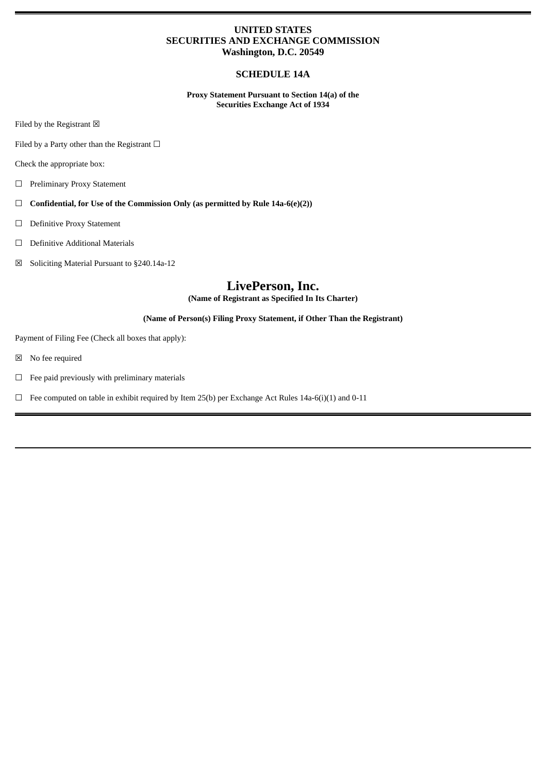# **UNITED STATES SECURITIES AND EXCHANGE COMMISSION Washington, D.C. 20549**

# **SCHEDULE 14A**

**Proxy Statement Pursuant to Section 14(a) of the Securities Exchange Act of 1934**

Filed by the Registrant  $\boxtimes$ 

Filed by a Party other than the Registrant  $\Box$ 

Check the appropriate box:

- ☐ Preliminary Proxy Statement
- ☐ **Confidential, for Use of the Commission Only (as permitted by Rule 14a-6(e)(2))**
- ☐ Definitive Proxy Statement
- ☐ Definitive Additional Materials
- ☒ Soliciting Material Pursuant to §240.14a-12

# **LivePerson, Inc.**

**(Name of Registrant as Specified In Its Charter)**

## **(Name of Person(s) Filing Proxy Statement, if Other Than the Registrant)**

Payment of Filing Fee (Check all boxes that apply):

- ☒ No fee required
- $\Box$  Fee paid previously with preliminary materials
- $\Box$  Fee computed on table in exhibit required by Item 25(b) per Exchange Act Rules 14a-6(i)(1) and 0-11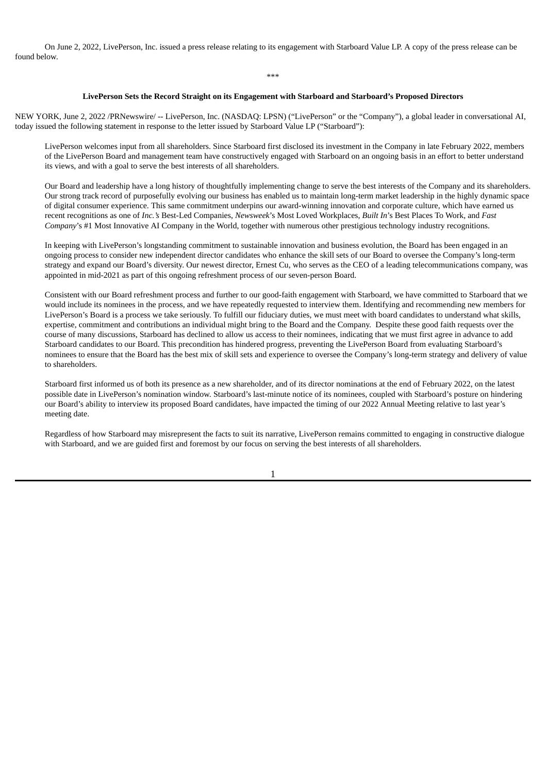On June 2, 2022, LivePerson, Inc. issued a press release relating to its engagement with Starboard Value LP. A copy of the press release can be found below.

#### **LivePerson Sets the Record Straight on its Engagement with Starboard and Starboard's Proposed Directors**

NEW YORK, June 2, 2022 /PRNewswire/ -- LivePerson, Inc. (NASDAQ: LPSN) ("LivePerson" or the "Company"), a global leader in conversational AI, today issued the following statement in response to the letter issued by Starboard Value LP ("Starboard"):

LivePerson welcomes input from all shareholders. Since Starboard first disclosed its investment in the Company in late February 2022, members of the LivePerson Board and management team have constructively engaged with Starboard on an ongoing basis in an effort to better understand its views, and with a goal to serve the best interests of all shareholders.

Our Board and leadership have a long history of thoughtfully implementing change to serve the best interests of the Company and its shareholders. Our strong track record of purposefully evolving our business has enabled us to maintain long-term market leadership in the highly dynamic space of digital consumer experience. This same commitment underpins our award-winning innovation and corporate culture, which have earned us recent recognitions as one of *Inc.'s* Best-Led Companies, *Newsweek*'s Most Loved Workplaces, *Built In*'s Best Places To Work, and *Fast Company*'s #1 Most Innovative AI Company in the World, together with numerous other prestigious technology industry recognitions.

In keeping with LivePerson's longstanding commitment to sustainable innovation and business evolution, the Board has been engaged in an ongoing process to consider new independent director candidates who enhance the skill sets of our Board to oversee the Company's long-term strategy and expand our Board's diversity. Our newest director, Ernest Cu, who serves as the CEO of a leading telecommunications company, was appointed in mid-2021 as part of this ongoing refreshment process of our seven-person Board.

Consistent with our Board refreshment process and further to our good-faith engagement with Starboard, we have committed to Starboard that we would include its nominees in the process, and we have repeatedly requested to interview them. Identifying and recommending new members for LivePerson's Board is a process we take seriously. To fulfill our fiduciary duties, we must meet with board candidates to understand what skills, expertise, commitment and contributions an individual might bring to the Board and the Company. Despite these good faith requests over the course of many discussions, Starboard has declined to allow us access to their nominees, indicating that we must first agree in advance to add Starboard candidates to our Board. This precondition has hindered progress, preventing the LivePerson Board from evaluating Starboard's nominees to ensure that the Board has the best mix of skill sets and experience to oversee the Company's long-term strategy and delivery of value to shareholders.

Starboard first informed us of both its presence as a new shareholder, and of its director nominations at the end of February 2022, on the latest possible date in LivePerson's nomination window. Starboard's last-minute notice of its nominees, coupled with Starboard's posture on hindering our Board's ability to interview its proposed Board candidates, have impacted the timing of our 2022 Annual Meeting relative to last year's meeting date.

Regardless of how Starboard may misrepresent the facts to suit its narrative, LivePerson remains committed to engaging in constructive dialogue with Starboard, and we are guided first and foremost by our focus on serving the best interests of all shareholders.

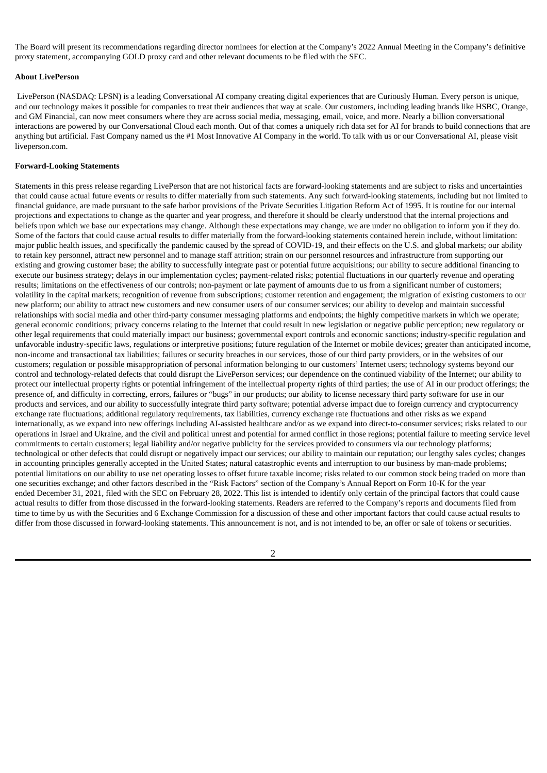The Board will present its recommendations regarding director nominees for election at the Company's 2022 Annual Meeting in the Company's definitive proxy statement, accompanying GOLD proxy card and other relevant documents to be filed with the SEC.

### **About LivePerson**

LivePerson (NASDAQ: LPSN) is a leading Conversational AI company creating digital experiences that are Curiously Human. Every person is unique, and our technology makes it possible for companies to treat their audiences that way at scale. Our customers, including leading brands like HSBC, Orange, and GM Financial, can now meet consumers where they are across social media, messaging, email, voice, and more. Nearly a billion conversational interactions are powered by our Conversational Cloud each month. Out of that comes a uniquely rich data set for AI for brands to build connections that are anything but artificial. Fast Company named us the #1 Most Innovative AI Company in the world. To talk with us or our Conversational AI, please visit liveperson.com.

### **Forward-Looking Statements**

Statements in this press release regarding LivePerson that are not historical facts are forward-looking statements and are subject to risks and uncertainties that could cause actual future events or results to differ materially from such statements. Any such forward-looking statements, including but not limited to financial guidance, are made pursuant to the safe harbor provisions of the Private Securities Litigation Reform Act of 1995. It is routine for our internal projections and expectations to change as the quarter and year progress, and therefore it should be clearly understood that the internal projections and beliefs upon which we base our expectations may change. Although these expectations may change, we are under no obligation to inform you if they do. Some of the factors that could cause actual results to differ materially from the forward-looking statements contained herein include, without limitation: major public health issues, and specifically the pandemic caused by the spread of COVID-19, and their effects on the U.S. and global markets; our ability to retain key personnel, attract new personnel and to manage staff attrition; strain on our personnel resources and infrastructure from supporting our existing and growing customer base; the ability to successfully integrate past or potential future acquisitions; our ability to secure additional financing to execute our business strategy; delays in our implementation cycles; payment-related risks; potential fluctuations in our quarterly revenue and operating results; limitations on the effectiveness of our controls; non-payment or late payment of amounts due to us from a significant number of customers; volatility in the capital markets; recognition of revenue from subscriptions; customer retention and engagement; the migration of existing customers to our new platform; our ability to attract new customers and new consumer users of our consumer services; our ability to develop and maintain successful relationships with social media and other third-party consumer messaging platforms and endpoints; the highly competitive markets in which we operate; general economic conditions; privacy concerns relating to the Internet that could result in new legislation or negative public perception; new regulatory or other legal requirements that could materially impact our business; governmental export controls and economic sanctions; industry-specific regulation and unfavorable industry-specific laws, regulations or interpretive positions; future regulation of the Internet or mobile devices; greater than anticipated income, non-income and transactional tax liabilities; failures or security breaches in our services, those of our third party providers, or in the websites of our customers; regulation or possible misappropriation of personal information belonging to our customers' Internet users; technology systems beyond our control and technology-related defects that could disrupt the LivePerson services; our dependence on the continued viability of the Internet; our ability to protect our intellectual property rights or potential infringement of the intellectual property rights of third parties; the use of AI in our product offerings; the presence of, and difficulty in correcting, errors, failures or "bugs" in our products; our ability to license necessary third party software for use in our products and services, and our ability to successfully integrate third party software; potential adverse impact due to foreign currency and cryptocurrency exchange rate fluctuations; additional regulatory requirements, tax liabilities, currency exchange rate fluctuations and other risks as we expand internationally, as we expand into new offerings including AI-assisted healthcare and/or as we expand into direct-to-consumer services; risks related to our operations in Israel and Ukraine, and the civil and political unrest and potential for armed conflict in those regions; potential failure to meeting service level commitments to certain customers; legal liability and/or negative publicity for the services provided to consumers via our technology platforms; technological or other defects that could disrupt or negatively impact our services; our ability to maintain our reputation; our lengthy sales cycles; changes in accounting principles generally accepted in the United States; natural catastrophic events and interruption to our business by man-made problems; potential limitations on our ability to use net operating losses to offset future taxable income; risks related to our common stock being traded on more than one securities exchange; and other factors described in the "Risk Factors" section of the Company's Annual Report on Form 10-K for the year ended December 31, 2021, filed with the SEC on February 28, 2022. This list is intended to identify only certain of the principal factors that could cause actual results to differ from those discussed in the forward-looking statements. Readers are referred to the Company's reports and documents filed from time to time by us with the Securities and 6 Exchange Commission for a discussion of these and other important factors that could cause actual results to differ from those discussed in forward-looking statements. This announcement is not, and is not intended to be, an offer or sale of tokens or securities.